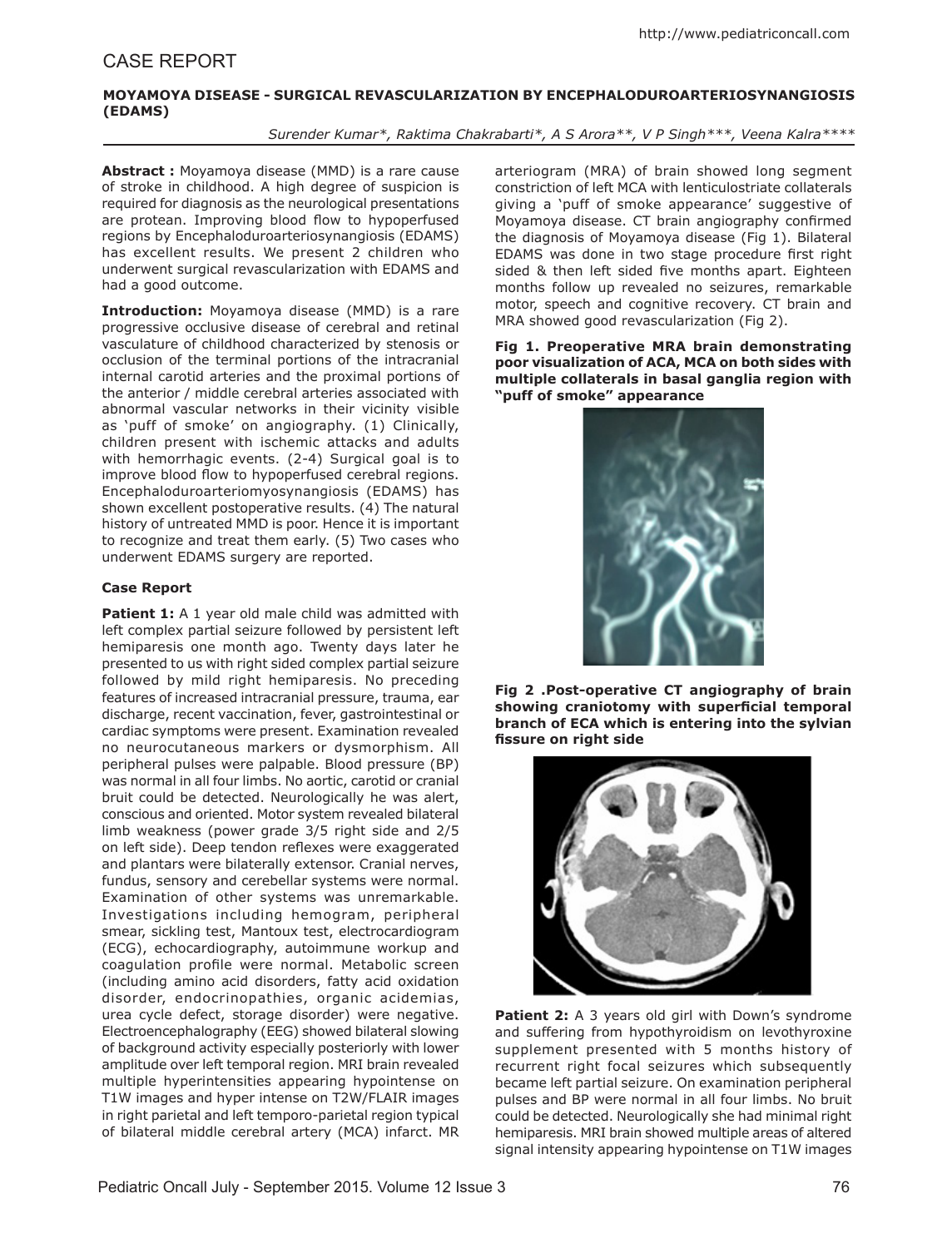## **Moyamoya disease - Surgical revascularization by Encephaloduroarteriosynangiosis (EDAMS)**

*Surender Kumar\*, Raktima Chakrabarti\*, A S Arora\*\*, V P Singh\*\*\*, Veena Kalra\*\*\*\**

**Abstract :** Moyamoya disease (MMD) is a rare cause of stroke in childhood. A high degree of suspicion is required for diagnosis as the neurological presentations are protean. Improving blood flow to hypoperfused regions by Encephaloduroarteriosynangiosis (EDAMS) has excellent results. We present 2 children who underwent surgical revascularization with EDAMS and had a good outcome.

**Introduction:** Moyamoya disease (MMD) is a rare progressive occlusive disease of cerebral and retinal vasculature of childhood characterized by stenosis or occlusion of the terminal portions of the intracranial internal carotid arteries and the proximal portions of the anterior / middle cerebral arteries associated with abnormal vascular networks in their vicinity visible as 'puff of smoke' on angiography. (1) Clinically, children present with ischemic attacks and adults with hemorrhagic events. (2-4) Surgical goal is to improve blood flow to hypoperfused cerebral regions. Encephaloduroarteriomyosynangiosis (EDAMS) has shown excellent postoperative results. (4) The natural history of untreated MMD is poor. Hence it is important to recognize and treat them early. (5) Two cases who underwent EDAMS surgery are reported.

# **Case Report**

Patient 1: A 1 year old male child was admitted with left complex partial seizure followed by persistent left hemiparesis one month ago. Twenty days later he presented to us with right sided complex partial seizure followed by mild right hemiparesis. No preceding features of increased intracranial pressure, trauma, ear discharge, recent vaccination, fever, gastrointestinal or cardiac symptoms were present. Examination revealed no neurocutaneous markers or dysmorphism. All peripheral pulses were palpable. Blood pressure (BP) was normal in all four limbs. No aortic, carotid or cranial bruit could be detected. Neurologically he was alert, conscious and oriented. Motor system revealed bilateral limb weakness (power grade 3/5 right side and 2/5 on left side). Deep tendon reflexes were exaggerated and plantars were bilaterally extensor. Cranial nerves, fundus, sensory and cerebellar systems were normal. Examination of other systems was unremarkable. Investigations including hemogram, peripheral smear, sickling test, Mantoux test, electrocardiogram (ECG), echocardiography, autoimmune workup and coagulation profile were normal. Metabolic screen (including amino acid disorders, fatty acid oxidation disorder, endocrinopathies, organic acidemias, urea cycle defect, storage disorder) were negative. Electroencephalography (EEG) showed bilateral slowing of background activity especially posteriorly with lower amplitude over left temporal region. MRI brain revealed multiple hyperintensities appearing hypointense on T1W images and hyper intense on T2W/FLAIR images in right parietal and left temporo-parietal region typical of bilateral middle cerebral artery (MCA) infarct. MR

arteriogram (MRA) of brain showed long segment constriction of left MCA with lenticulostriate collaterals giving a 'puff of smoke appearance' suggestive of Moyamoya disease. CT brain angiography confirmed the diagnosis of Moyamoya disease (Fig 1). Bilateral EDAMS was done in two stage procedure first right sided & then left sided five months apart. Eighteen months follow up revealed no seizures, remarkable motor, speech and cognitive recovery. CT brain and MRA showed good revascularization (Fig 2).

**Fig 1. Preoperative MRA brain demonstrating poor visualization of ACA, MCA on both sides with multiple collaterals in basal ganglia region with "puff of smoke" appearance**